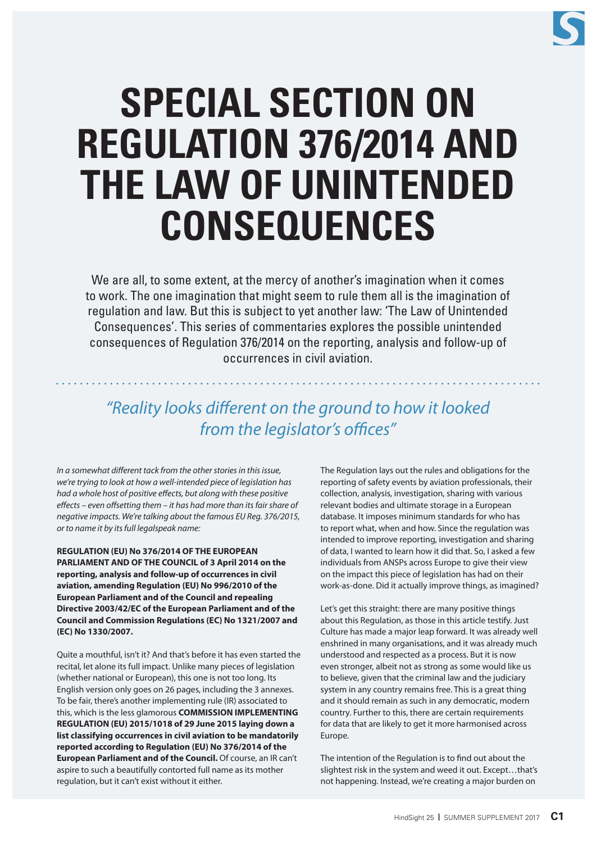

# **SPECIAL SECTION ON REGULATION 376/2014 AND THE LAW OF UNINTENDED CONSEQUENCES**

We are all, to some extent, at the mercy of another's imagination when it comes to work. The one imagination that might seem to rule them all is the imagination of regulation and law. But this is subject to yet another law: 'The Law of Unintended Consequences'. This series of commentaries explores the possible unintended consequences of Regulation 376/2014 on the reporting, analysis and follow-up of occurrences in civil aviation.

# *"Reality looks different on the ground to how it looked from the legislator's offices"*

*In a somewhat different tack from the other stories in this issue, we're trying to look at how a well-intended piece of legislation has had a whole host of positive effects, but along with these positive effects – even offsetting them – it has had more than its fair share of negative impacts. We're talking about the famous EU Reg. 376/2015, or to name it by its full legalspeak name:* 

**REGULATION (EU) No 376/2014 OF THE EUROPEAN PARLIAMENT AND OF THE COUNCIL of 3 April 2014 on the reporting, analysis and follow-up of occurrences in civil aviation, amending Regulation (EU) No 996/2010 of the European Parliament and of the Council and repealing Directive 2003/42/EC of the European Parliament and of the Council and Commission Regulations (EC) No 1321/2007 and (EC) No 1330/2007.** 

Quite a mouthful, isn't it? And that's before it has even started the recital, let alone its full impact. Unlike many pieces of legislation (whether national or European), this one is not too long. Its English version only goes on 26 pages, including the 3 annexes. To be fair, there's another implementing rule (IR) associated to this, which is the less glamorous **COMMISSION IMPLEMENTING REGULATION (EU) 2015/1018 of 29 June 2015 laying down a list classifying occurrences in civil aviation to be mandatorily reported according to Regulation (EU) No 376/2014 of the European Parliament and of the Council.** Of course, an IR can't aspire to such a beautifully contorted full name as its mother regulation, but it can't exist without it either.

The Regulation lays out the rules and obligations for the reporting of safety events by aviation professionals, their collection, analysis, investigation, sharing with various relevant bodies and ultimate storage in a European database. It imposes minimum standards for who has to report what, when and how. Since the regulation was intended to improve reporting, investigation and sharing of data, I wanted to learn how it did that. So, I asked a few individuals from ANSPs across Europe to give their view on the impact this piece of legislation has had on their work-as-done. Did it actually improve things, as imagined?

Let's get this straight: there are many positive things about this Regulation, as those in this article testify. Just Culture has made a major leap forward. It was already well enshrined in many organisations, and it was already much understood and respected as a process. But it is now even stronger, albeit not as strong as some would like us to believe, given that the criminal law and the judiciary system in any country remains free. This is a great thing and it should remain as such in any democratic, modern country. Further to this, there are certain requirements for data that are likely to get it more harmonised across Europe.

The intention of the Regulation is to find out about the slightest risk in the system and weed it out. Except…that's not happening. Instead, we're creating a major burden on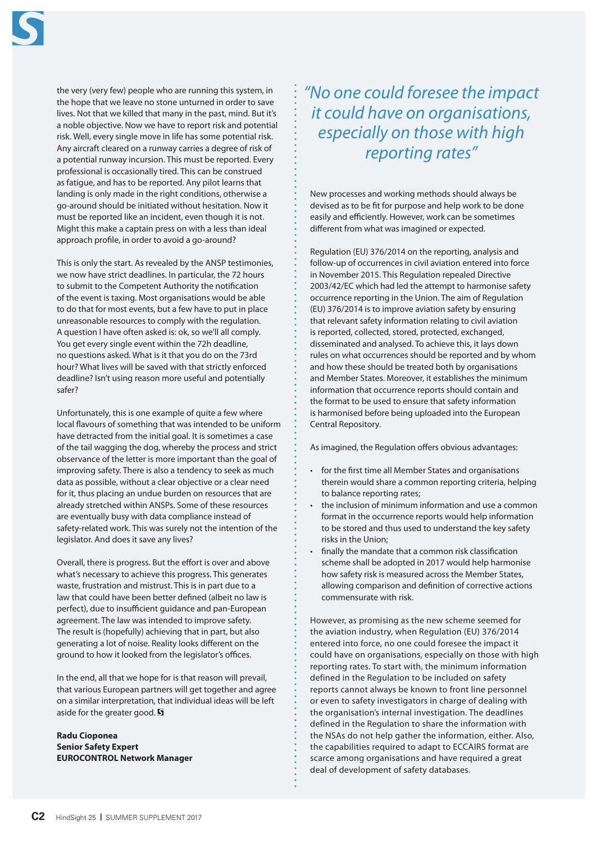

the very (very few) people who are running this system, in the hope that we leave no stone unturned in order to save lives. Not that we killed that many in the past, mind. But it's a noble objective. Now we have to report risk and potential risk. Well, every single move in life has some potential risk. Any aircraft cleared on a runway carries a degree of risk of a potential runway incursion. This must be reported. Every professional is occasionally tired. This can be construed as fatigue, and has to be reported. Any pilot learns that landing is only made in the right conditions, otherwise a go-around should be initiated without hesitation. Now it must be reported like an incident, even though it is not. Might this make a captain press on with a less than ideal approach profile, in order to avoid a go-around?

This is only the start. As revealed by the ANSP testimonies, we now have strict deadlines. In particular, the 72 hours to submit to the Competent Authority the notification of the event is taxing. Most organisations would be able to do that for most events, but a few have to put in place unreasonable resources to comply with the regulation. A question I have often asked is: ok, so we'll all comply. You get every single event within the 72h deadline, no questions asked. What is it that you do on the 73rd hour? What lives will be saved with that strictly enforced deadline? Isn't using reason more useful and potentially safer?

Unfortunately, this is one example of quite a few where local flavours of something that was intended to be uniform have detracted from the initial goal. It is sometimes a case of the tail wagging the dog, whereby the process and strict observance of the letter is more important than the goal of improving safety. There is also a tendency to seek as much data as possible, without a clear objective or a clear need for it, thus placing an undue burden on resources that are already stretched within ANSPs. Some of these resources are eventually busy with data compliance instead of safety-related work. This was surely not the intention of the legislator. And does it save any lives?

Overall, there is progress. But the effort is over and above what's necessary to achieve this progress. This generates waste, frustration and mistrust. This is in part due to a law that could have been better defined (albeit no law is perfect), due to insufficient guidance and pan-European agreement. The law was intended to improve safety. The result is (hopefully) achieving that in part, but also generating a lot of noise. Reality looks different on the ground to how it looked from the legislator's offices.

In the end, all that we hope for is that reason will prevail, that various European partners will get together and agree on a similar interpretation, that individual ideas will be left aside for the greater good.

**Radu Cioponea Senior Safety Expert EUROCONTROL Network Manager** *"No one could foresee the impact it could have on organisations, especially on those with high reporting rates"*

New processes and working methods should always be devised as to be fit for purpose and help work to be done easily and efficiently. However, work can be sometimes different from what was imagined or expected.

Regulation (EU) 376/2014 on the reporting, analysis and follow-up of occurrences in civil aviation entered into force in November 2015. This Regulation repealed Directive 2003/42/EC which had led the attempt to harmonise safety occurrence reporting in the Union. The aim of Regulation (EU) 376/2014 is to improve aviation safety by ensuring that relevant safety information relating to civil aviation is reported, collected, stored, protected, exchanged, disseminated and analysed. To achieve this, it lays down rules on what occurrences should be reported and by whom and how these should be treated both by organisations and Member States. Moreover, it establishes the minimum information that occurrence reports should contain and the format to be used to ensure that safety information is harmonised before being uploaded into the European Central Repository.

As imagined, the Regulation offers obvious advantages:

- for the first time all Member States and organisations therein would share a common reporting criteria, helping to balance reporting rates;
- the inclusion of minimum information and use a common format in the occurrence reports would help information to be stored and thus used to understand the key safety risks in the Union;
- finally the mandate that a common risk classification scheme shall be adopted in 2017 would help harmonise how safety risk is measured across the Member States, allowing comparison and definition of corrective actions commensurate with risk.

However, as promising as the new scheme seemed for the aviation industry, when Regulation (EU) 376/2014 entered into force, no one could foresee the impact it could have on organisations, especially on those with high reporting rates. To start with, the minimum information defined in the Regulation to be included on safety reports cannot always be known to front line personnel or even to safety investigators in charge of dealing with the organisation's internal investigation. The deadlines defined in the Regulation to share the information with the NSAs do not help gather the information, either. Also, the capabilities required to adapt to ECCAIRS format are scarce among organisations and have required a great deal of development of safety databases.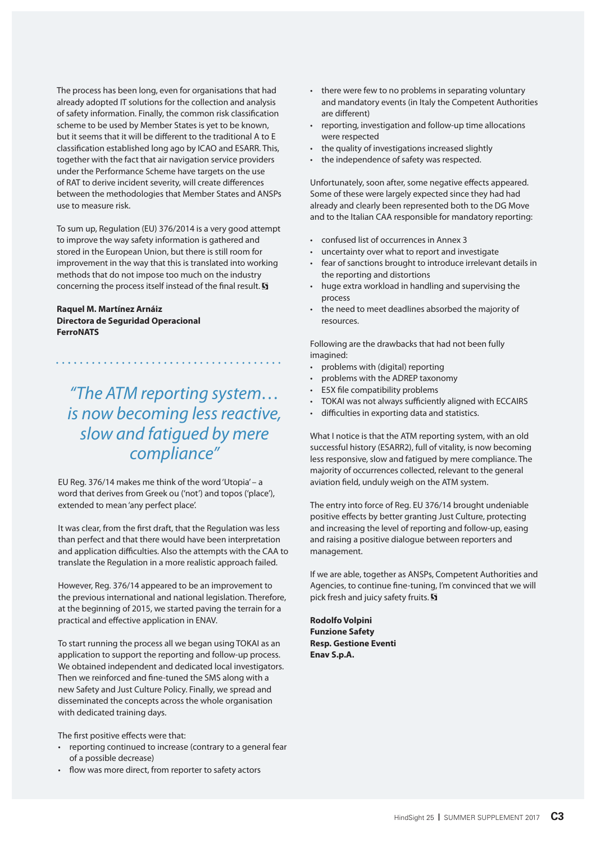The process has been long, even for organisations that had already adopted IT solutions for the collection and analysis of safety information. Finally, the common risk classification scheme to be used by Member States is yet to be known, but it seems that it will be different to the traditional A to E classification established long ago by ICAO and ESARR. This, together with the fact that air navigation service providers under the Performance Scheme have targets on the use of RAT to derive incident severity, will create differences between the methodologies that Member States and ANSPs use to measure risk.

To sum up, Regulation (EU) 376/2014 is a very good attempt to improve the way safety information is gathered and stored in the European Union, but there is still room for improvement in the way that this is translated into working methods that do not impose too much on the industry concerning the process itself instead of the final result.  $\overline{\mathbf{S}}$ 

### **Raquel M. Martínez Arnáiz Directora de Seguridad Operacional FerroNATS**

*"The ATM reporting system… is now becoming less reactive, slow and fatigued by mere compliance"*

EU Reg. 376/14 makes me think of the word 'Utopia' – a word that derives from Greek ou ('not') and topos ('place'), extended to mean 'any perfect place'.

It was clear, from the first draft, that the Regulation was less than perfect and that there would have been interpretation and application difficulties. Also the attempts with the CAA to translate the Regulation in a more realistic approach failed.

However, Reg. 376/14 appeared to be an improvement to the previous international and national legislation. Therefore, at the beginning of 2015, we started paving the terrain for a practical and effective application in ENAV.

To start running the process all we began using TOKAI as an application to support the reporting and follow-up process. We obtained independent and dedicated local investigators. Then we reinforced and fine-tuned the SMS along with a new Safety and Just Culture Policy. Finally, we spread and disseminated the concepts across the whole organisation with dedicated training days.

The first positive effects were that:

- reporting continued to increase (contrary to a general fear of a possible decrease)
- flow was more direct, from reporter to safety actors
- there were few to no problems in separating voluntary and mandatory events (in Italy the Competent Authorities are different)
- reporting, investigation and follow-up time allocations were respected
- the quality of investigations increased slightly
- the independence of safety was respected.

Unfortunately, soon after, some negative effects appeared. Some of these were largely expected since they had had already and clearly been represented both to the DG Move and to the Italian CAA responsible for mandatory reporting:

- confused list of occurrences in Annex 3
- uncertainty over what to report and investigate
- fear of sanctions brought to introduce irrelevant details in the reporting and distortions
- huge extra workload in handling and supervising the process
- the need to meet deadlines absorbed the majority of resources.

Following are the drawbacks that had not been fully imagined:

- problems with (digital) reporting
- problems with the ADREP taxonomy
- E5X file compatibility problems
- TOKAI was not always sufficiently aligned with ECCAIRS
- difficulties in exporting data and statistics.

What I notice is that the ATM reporting system, with an old successful history (ESARR2), full of vitality, is now becoming less responsive, slow and fatigued by mere compliance. The majority of occurrences collected, relevant to the general aviation field, unduly weigh on the ATM system.

The entry into force of Reg. EU 376/14 brought undeniable positive effects by better granting Just Culture, protecting and increasing the level of reporting and follow-up, easing and raising a positive dialogue between reporters and management.

If we are able, together as ANSPs, Competent Authorities and Agencies, to continue fine-tuning, I'm convinced that we will pick fresh and juicy safety fruits. **S** 

**Rodolfo Volpini Funzione Safety Resp. Gestione Eventi Enav S.p.A.**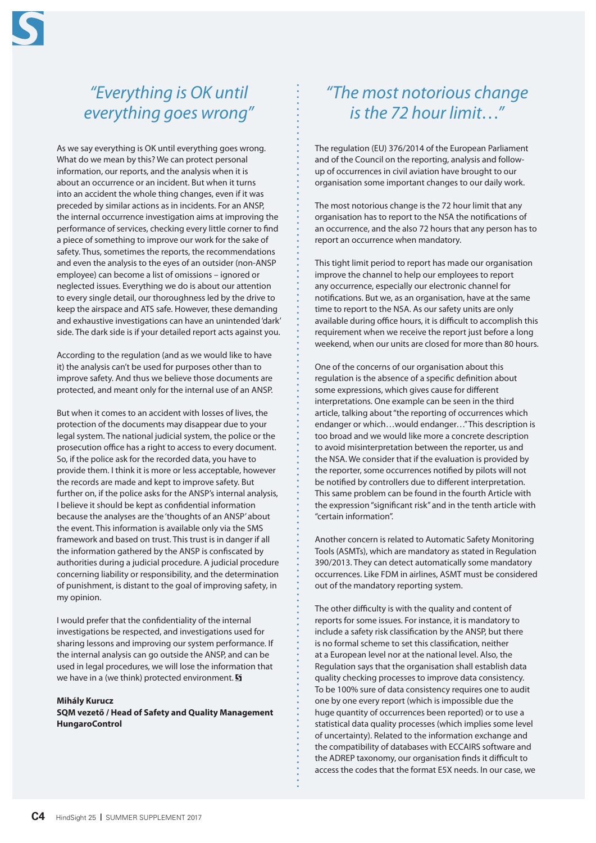

## *"Everything is OK until everything goes wrong"*

As we say everything is OK until everything goes wrong. What do we mean by this? We can protect personal information, our reports, and the analysis when it is about an occurrence or an incident. But when it turns into an accident the whole thing changes, even if it was preceded by similar actions as in incidents. For an ANSP, the internal occurrence investigation aims at improving the performance of services, checking every little corner to find a piece of something to improve our work for the sake of safety. Thus, sometimes the reports, the recommendations and even the analysis to the eyes of an outsider (non-ANSP employee) can become a list of omissions – ignored or neglected issues. Everything we do is about our attention to every single detail, our thoroughness led by the drive to keep the airspace and ATS safe. However, these demanding and exhaustive investigations can have an unintended 'dark' side. The dark side is if your detailed report acts against you.

According to the regulation (and as we would like to have it) the analysis can't be used for purposes other than to improve safety. And thus we believe those documents are protected, and meant only for the internal use of an ANSP.

But when it comes to an accident with losses of lives, the protection of the documents may disappear due to your legal system. The national judicial system, the police or the prosecution office has a right to access to every document. So, if the police ask for the recorded data, you have to provide them. I think it is more or less acceptable, however the records are made and kept to improve safety. But further on, if the police asks for the ANSP's internal analysis, I believe it should be kept as confidential information because the analyses are the 'thoughts of an ANSP' about the event. This information is available only via the SMS framework and based on trust. This trust is in danger if all the information gathered by the ANSP is confiscated by authorities during a judicial procedure. A judicial procedure concerning liability or responsibility, and the determination of punishment, is distant to the goal of improving safety, in my opinion.

I would prefer that the confidentiality of the internal investigations be respected, and investigations used for sharing lessons and improving our system performance. If the internal analysis can go outside the ANSP, and can be used in legal procedures, we will lose the information that we have in a (we think) protected environment.  $\overline{\mathbf{S}}$ 

#### **Mihály Kurucz**

**SQM vezető / Head of Safety and Quality Management HungaroControl**

## *"The most notorious change is the 72 hour limit…"*

The regulation (EU) 376/2014 of the European Parliament and of the Council on the reporting, analysis and followup of occurrences in civil aviation have brought to our organisation some important changes to our daily work.

The most notorious change is the 72 hour limit that any organisation has to report to the NSA the notifications of an occurrence, and the also 72 hours that any person has to report an occurrence when mandatory.

This tight limit period to report has made our organisation improve the channel to help our employees to report any occurrence, especially our electronic channel for notifications. But we, as an organisation, have at the same time to report to the NSA. As our safety units are only available during office hours, it is difficult to accomplish this requirement when we receive the report just before a long weekend, when our units are closed for more than 80 hours.

One of the concerns of our organisation about this regulation is the absence of a specific definition about some expressions, which gives cause for different interpretations. One example can be seen in the third article, talking about "the reporting of occurrences which endanger or which…would endanger…" This description is too broad and we would like more a concrete description to avoid misinterpretation between the reporter, us and the NSA. We consider that if the evaluation is provided by the reporter, some occurrences notified by pilots will not be notified by controllers due to different interpretation. This same problem can be found in the fourth Article with the expression "significant risk" and in the tenth article with "certain information".

Another concern is related to Automatic Safety Monitoring Tools (ASMTs), which are mandatory as stated in Regulation 390/2013. They can detect automatically some mandatory occurrences. Like FDM in airlines, ASMT must be considered out of the mandatory reporting system.

The other difficulty is with the quality and content of reports for some issues. For instance, it is mandatory to include a safety risk classification by the ANSP, but there is no formal scheme to set this classification, neither at a European level nor at the national level. Also, the Regulation says that the organisation shall establish data quality checking processes to improve data consistency. To be 100% sure of data consistency requires one to audit one by one every report (which is impossible due the huge quantity of occurrences been reported) or to use a statistical data quality processes (which implies some level of uncertainty). Related to the information exchange and the compatibility of databases with ECCAIRS software and the ADREP taxonomy, our organisation finds it difficult to access the codes that the format E5X needs. In our case, we